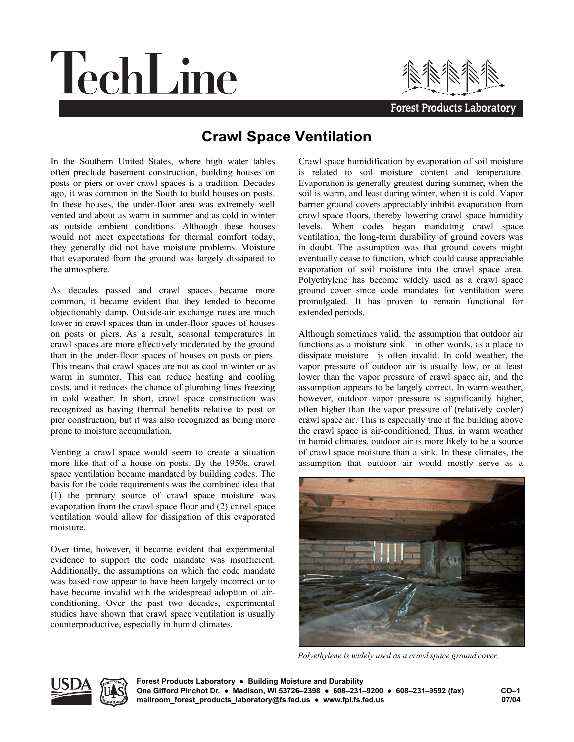## TechLine



## **Forest Products Laboratory**

## **Crawl Space Ventilation**

In the Southern United States, where high water tables often preclude basement construction, building houses on posts or piers or over crawl spaces is a tradition. Decades ago, it was common in the South to build houses on posts. In these houses, the under-floor area was extremely well vented and about as warm in summer and as cold in winter as outside ambient conditions. Although these houses would not meet expectations for thermal comfort today, they generally did not have moisture problems. Moisture that evaporated from the ground was largely dissipated to the atmosphere.

As decades passed and crawl spaces became more common, it became evident that they tended to become objectionably damp. Outside-air exchange rates are much lower in crawl spaces than in under-floor spaces of houses on posts or piers. As a result, seasonal temperatures in crawl spaces are more effectively moderated by the ground than in the under-floor spaces of houses on posts or piers. This means that crawl spaces are not as cool in winter or as warm in summer. This can reduce heating and cooling costs, and it reduces the chance of plumbing lines freezing in cold weather. In short, crawl space construction was recognized as having thermal benefits relative to post or pier construction, but it was also recognized as being more prone to moisture accumulation.

Venting a crawl space would seem to create a situation more like that of a house on posts. By the 1950s, crawl space ventilation became mandated by building codes. The basis for the code requirements was the combined idea that (1) the primary source of crawl space moisture was evaporation from the crawl space floor and (2) crawl space ventilation would allow for dissipation of this evaporated moisture.

Over time, however, it became evident that experimental evidence to support the code mandate was insufficient. Additionally, the assumptions on which the code mandate was based now appear to have been largely incorrect or to have become invalid with the widespread adoption of airconditioning. Over the past two decades, experimental studies have shown that crawl space ventilation is usually counterproductive, especially in humid climates.

Crawl space humidification by evaporation of soil moisture is related to soil moisture content and temperature. Evaporation is generally greatest during summer, when the soil is warm, and least during winter, when it is cold. Vapor barrier ground covers appreciably inhibit evaporation from crawl space floors, thereby lowering crawl space humidity levels. When codes began mandating crawl space ventilation, the long-term durability of ground covers was in doubt. The assumption was that ground covers might eventually cease to function, which could cause appreciable evaporation of soil moisture into the crawl space area. Polyethylene has become widely used as a crawl space ground cover since code mandates for ventilation were promulgated. It has proven to remain functional for extended periods.

Although sometimes valid, the assumption that outdoor air functions as a moisture sink—in other words, as a place to dissipate moisture-is often invalid. In cold weather, the vapor pressure of outdoor air is usually low, or at least lower than the vapor pressure of crawl space air, and the assumption appears to be largely correct. In warm weather, however, outdoor vapor pressure is significantly higher, often higher than the vapor pressure of (relatively cooler) crawl space air. This is especially true if the building above the crawl space is air-conditioned. Thus, in warm weather in humid climates, outdoor air is more likely to be a source of crawl space moisture than a sink. In these climates, the assumption that outdoor air would mostly serve as a



*Polyethylene is widely used as a crawl space ground cover.*